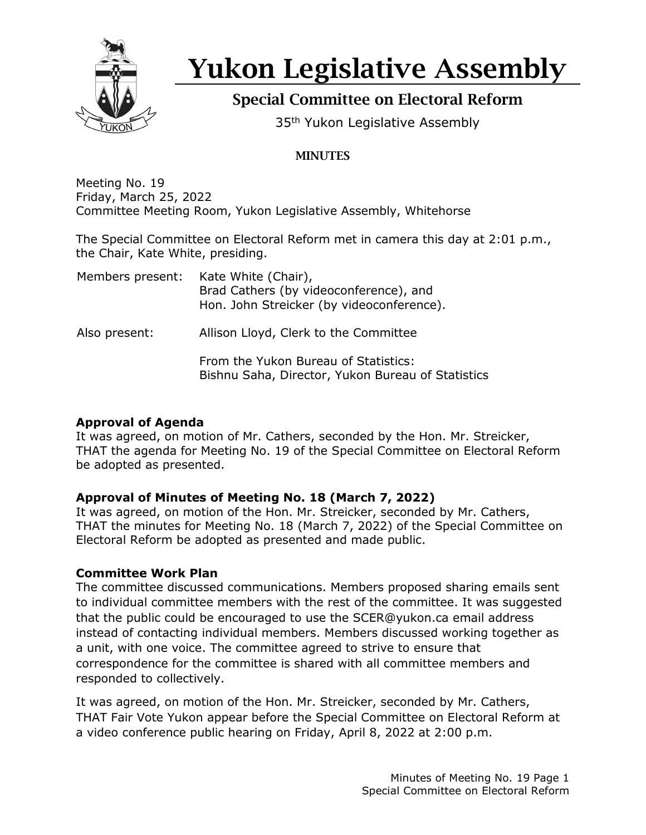

# Yukon Legislative Assembly

# Special Committee on Electoral Reform

35<sup>th</sup> Yukon Legislative Assembly

## **MINUTES**

Meeting No. 19 Friday, March 25, 2022 Committee Meeting Room, Yukon Legislative Assembly, Whitehorse

The Special Committee on Electoral Reform met in camera this day at 2:01 p.m., the Chair, Kate White, presiding.

| Members present: | Kate White (Chair),<br>Brad Cathers (by videoconference), and<br>Hon. John Streicker (by videoconference). |
|------------------|------------------------------------------------------------------------------------------------------------|
| Also present:    | Allison Lloyd, Clerk to the Committee                                                                      |
|                  | From the Yukon Bureau of Statistics:<br>Bishnu Saha, Director, Yukon Bureau of Statistics                  |

#### **Approval of Agenda**

It was agreed, on motion of Mr. Cathers, seconded by the Hon. Mr. Streicker, THAT the agenda for Meeting No. 19 of the Special Committee on Electoral Reform be adopted as presented.

### **Approval of Minutes of Meeting No. 18 (March 7, 2022)**

It was agreed, on motion of the Hon. Mr. Streicker, seconded by Mr. Cathers, THAT the minutes for Meeting No. 18 (March 7, 2022) of the Special Committee on Electoral Reform be adopted as presented and made public.

### **Committee Work Plan**

The committee discussed communications. Members proposed sharing emails sent to individual committee members with the rest of the committee. It was suggested that the public could be encouraged to use the SCER@yukon.ca email address instead of contacting individual members. Members discussed working together as a unit, with one voice. The committee agreed to strive to ensure that correspondence for the committee is shared with all committee members and responded to collectively.

It was agreed, on motion of the Hon. Mr. Streicker, seconded by Mr. Cathers, THAT Fair Vote Yukon appear before the Special Committee on Electoral Reform at a video conference public hearing on Friday, April 8, 2022 at 2:00 p.m.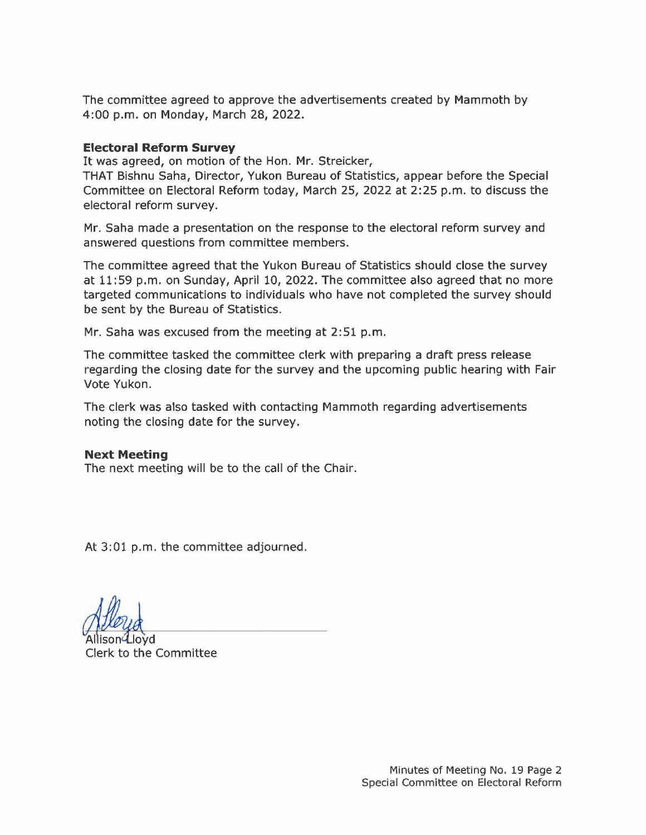The committee agreed to approve the advertisements created by Mammoth by 4:00 p.m. on Monday, March 28, 2022.

#### **Electoral Reform Survey**

It was agreed, on motion of the Hon. Mr. Streicker,

THAT Bishnu Saha, Director, Yukon Bureau of Statistics, appear before the Special Committee on Electoral Reform today, March 25, 2022 at 2:25 p.m. to discuss the electoral reform survey.

Mr. Saha made a presentation on the response to the electoral reform survey and answered questions from committee members.

The committee agreed that the Yukon Bureau of Statistics should close the survey at 11:59 p.m. on Sunday, April 10, 2022. The committee also agreed that no more targeted communications to individuals who have not completed the survey should be sent by the Bureau of Statistics.

Mr. Saha was excused from the meeting at 2:51 p.m.

The committee tasked the committee clerk with preparing a draft press release regarding the closing date for the survey and the upcoming public hearing with Fair Vote Yukon.

The clerk was also tasked with contacting Mammoth regarding advertisements noting the closing date for the survey.

#### **Next Meeting**

The next meeting will be to the call of the Chair.

At 3:01 p.m. the committee adjourned.

Allison Lloyd Clerk to the Committee